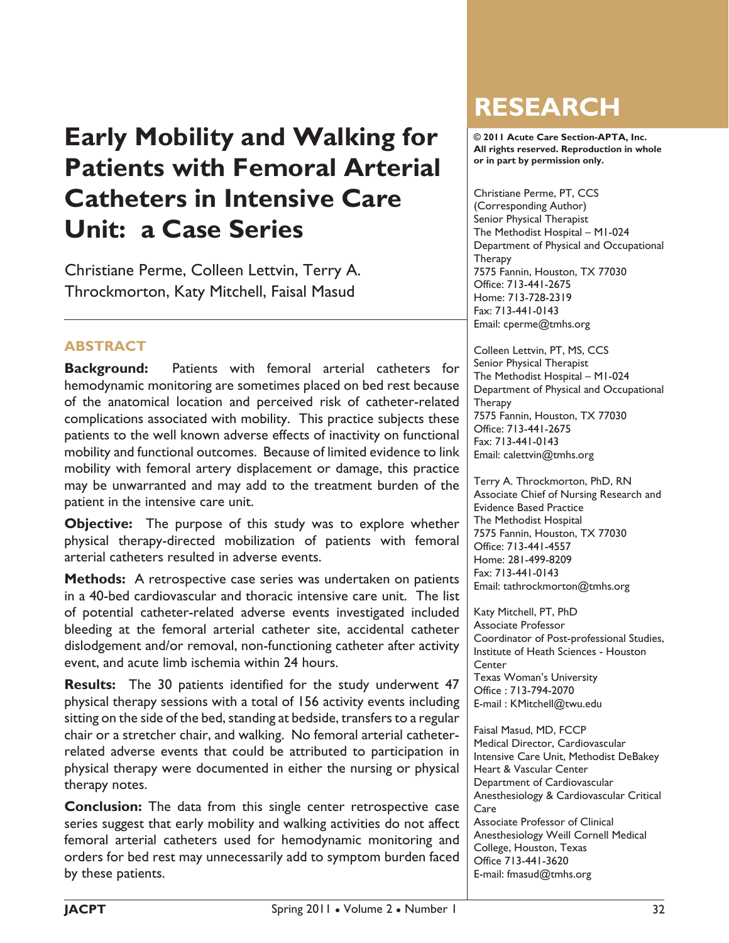# **Early Mobility and Walking for Patients with Femoral Arterial Catheters in Intensive Care Unit: a Case Series**

Christiane Perme, Colleen Lettvin, Terry A. Throckmorton, Katy Mitchell, Faisal Masud

# **ABSTRACT**

**Background:** Patients with femoral arterial catheters for hemodynamic monitoring are sometimes placed on bed rest because of the anatomical location and perceived risk of catheter-related complications associated with mobility. This practice subjects these patients to the well known adverse effects of inactivity on functional mobility and functional outcomes. Because of limited evidence to link mobility with femoral artery displacement or damage, this practice may be unwarranted and may add to the treatment burden of the patient in the intensive care unit.

**Objective:** The purpose of this study was to explore whether physical therapy-directed mobilization of patients with femoral arterial catheters resulted in adverse events.

**Methods:** A retrospective case series was undertaken on patients in a 40-bed cardiovascular and thoracic intensive care unit. The list of potential catheter-related adverse events investigated included bleeding at the femoral arterial catheter site, accidental catheter dislodgement and/or removal, non-functioning catheter after activity event, and acute limb ischemia within 24 hours.

**Results:** The 30 patients identified for the study underwent 47 physical therapy sessions with a total of 156 activity events including sitting on the side of the bed, standing at bedside, transfers to a regular chair or a stretcher chair, and walking. No femoral arterial catheterrelated adverse events that could be attributed to participation in physical therapy were documented in either the nursing or physical therapy notes.

**Conclusion:** The data from this single center retrospective case series suggest that early mobility and walking activities do not affect femoral arterial catheters used for hemodynamic monitoring and orders for bed rest may unnecessarily add to symptom burden faced by these patients.

# **RESEARCH**

**© 2011 Acute Care Section-APTA, Inc. All rights reserved. Reproduction in whole or in part by permission only.**

Christiane Perme, PT, CCS (Corresponding Author) Senior Physical Therapist The Methodist Hospital – M1-024 Department of Physical and Occupational **Therapy** 7575 Fannin, Houston, TX 77030 Office: 713-441-2675 Home: 713-728-2319 Fax: 713-441-0143 Email: cperme@tmhs.org

Colleen Lettvin, PT, MS, CCS Senior Physical Therapist The Methodist Hospital – M1-024 Department of Physical and Occupational **Therapy** 7575 Fannin, Houston, TX 77030 Office: 713-441-2675 Fax: 713-441-0143 Email: calettvin@tmhs.org

Terry A. Throckmorton, PhD, RN Associate Chief of Nursing Research and Evidence Based Practice The Methodist Hospital 7575 Fannin, Houston, TX 77030 Office: 713-441-4557 Home: 281-499-8209 Fax: 713-441-0143 Email: tathrockmorton@tmhs.org

Katy Mitchell, PT, PhD Associate Professor Coordinator of Post-professional Studies, Institute of Heath Sciences - Houston **Center** Texas Woman's University Office : 713-794-2070 E-mail : KMitchell@twu.edu

Faisal Masud, MD, FCCP Medical Director, Cardiovascular Intensive Care Unit, Methodist DeBakey Heart & Vascular Center Department of Cardiovascular Anesthesiology & Cardiovascular Critical Care Associate Professor of Clinical Anesthesiology Weill Cornell Medical College, Houston, Texas Office 713-441-3620 E-mail: fmasud@tmhs.org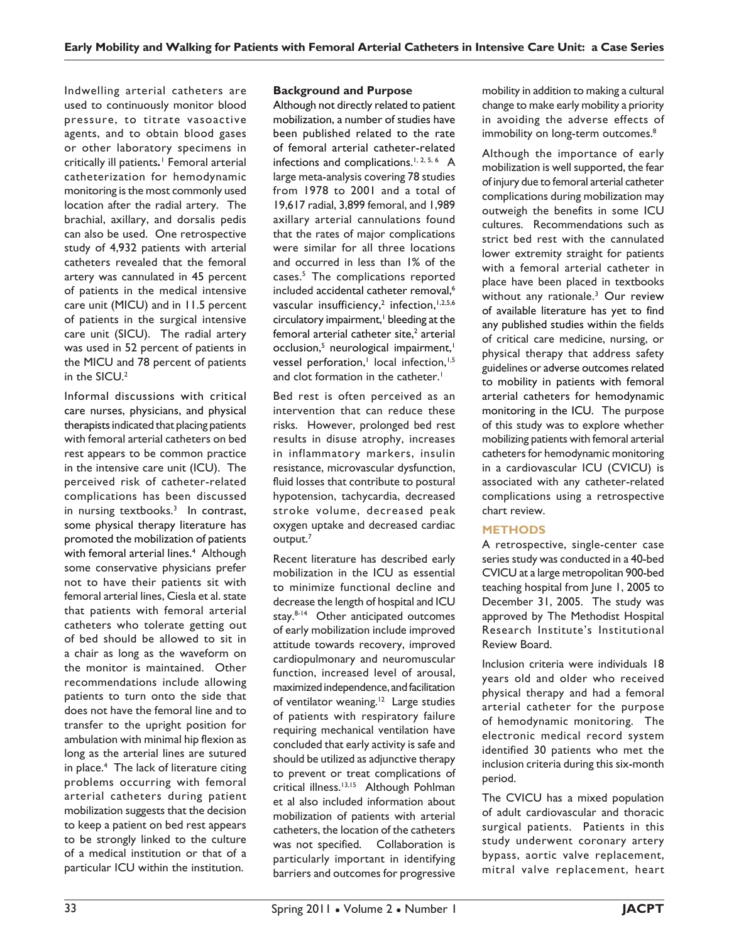Indwelling arterial catheters are used to continuously monitor blood pressure, to titrate vasoactive agents, and to obtain blood gases or other laboratory specimens in critically ill patients*.* 1 Femoral arterial catheterization for hemodynamic monitoring is the most commonly used location after the radial artery. The brachial, axillary, and dorsalis pedis can also be used. One retrospective study of 4,932 patients with arterial catheters revealed that the femoral artery was cannulated in 45 percent of patients in the medical intensive care unit (MICU) and in 11.5 percent of patients in the surgical intensive care unit (SICU). The radial artery was used in 52 percent of patients in the MICU and 78 percent of patients in the SICU.<sup>2</sup>

Informal discussions with critical care nurses, physicians, and physical therapists indicated that placing patients with femoral arterial catheters on bed rest appears to be common practice in the intensive care unit (ICU). The perceived risk of catheter-related complications has been discussed in nursing textbooks.<sup>3</sup> In contrast, some physical therapy literature has promoted the mobilization of patients with femoral arterial lines.<sup>4</sup> Although some conservative physicians prefer not to have their patients sit with femoral arterial lines, Ciesla et al. state that patients with femoral arterial catheters who tolerate getting out of bed should be allowed to sit in a chair as long as the waveform on the monitor is maintained. Other recommendations include allowing patients to turn onto the side that does not have the femoral line and to transfer to the upright position for ambulation with minimal hip flexion as long as the arterial lines are sutured in place.4 The lack of literature citing problems occurring with femoral arterial catheters during patient mobilization suggests that the decision to keep a patient on bed rest appears to be strongly linked to the culture of a medical institution or that of a particular ICU within the institution.

## **Background and Purpose**

Although not directly related to patient mobilization, a number of studies have been published related to the rate of femoral arterial catheter-related infections and complications.1, 2, 5, 6A large meta-analysis covering 78 studies from 1978 to 2001 and a total of 19,617 radial, 3,899 femoral, and 1,989 axillary arterial cannulations found that the rates of major complications were similar for all three locations and occurred in less than 1% of the cases.5 The complications reported included accidental catheter removal,<sup>6</sup> vascular insufficiency,<sup>2</sup> infection, 1,2,5,6 circulatory impairment,<sup>1</sup> bleeding at the femoral arterial catheter site, $^2$  arterial occlusion,<sup>5</sup> neurological impairment,<sup>1</sup> vessel perforation,<sup>1</sup> local infection,<sup>1,5</sup> and clot formation in the catheter.<sup>1</sup>

Bed rest is often perceived as an intervention that can reduce these risks. However, prolonged bed rest results in disuse atrophy, increases in inflammatory markers, insulin resistance, microvascular dysfunction, fluid losses that contribute to postural hypotension, tachycardia, decreased stroke volume, decreased peak oxygen uptake and decreased cardiac  $output.^7$ 

Recent literature has described early mobilization in the ICU as essential to minimize functional decline and decrease the length of hospital and ICU stay.<sup>8-14</sup> Other anticipated outcomes of early mobilization include improved attitude towards recovery, improved cardiopulmonary and neuromuscular function, increased level of arousal, maximized independence, and facilitation of ventilator weaning.<sup>12</sup> Large studies of patients with respiratory failure requiring mechanical ventilation have concluded that early activity is safe and should be utilized as adjunctive therapy to prevent or treat complications of critical illness.13,15 Although Pohlman et al also included information about mobilization of patients with arterial catheters, the location of the catheters was not specified. Collaboration is particularly important in identifying barriers and outcomes for progressive mobility in addition to making a cultural change to make early mobility a priority in avoiding the adverse effects of immobility on long-term outcomes.<sup>8</sup>

Although the importance of early mobilization is well supported, the fear of injury due to femoral arterial catheter complications during mobilization may outweigh the benefits in some ICU cultures. Recommendations such as strict bed rest with the cannulated lower extremity straight for patients with a femoral arterial catheter in place have been placed in textbooks without any rationale.<sup>3</sup> Our review of available literature has yet to find any published studies within the fields of critical care medicine, nursing, or physical therapy that address safety guidelines or adverse outcomes related to mobility in patients with femoral arterial catheters for hemodynamic monitoring in the ICU. The purpose of this study was to explore whether mobilizing patients with femoral arterial catheters for hemodynamic monitoring in a cardiovascular ICU (CVICU) is associated with any catheter-related complications using a retrospective chart review.

# **METHODS**

A retrospective, single-center case series study was conducted in a 40-bed CVICU at a large metropolitan 900-bed teaching hospital from June 1, 2005 to December 31, 2005. The study was approved by The Methodist Hospital Research Institute's Institutional Review Board.

Inclusion criteria were individuals 18 years old and older who received physical therapy and had a femoral arterial catheter for the purpose of hemodynamic monitoring. The electronic medical record system identified 30 patients who met the inclusion criteria during this six-month period.

The CVICU has a mixed population of adult cardiovascular and thoracic surgical patients. Patients in this study underwent coronary artery bypass, aortic valve replacement, mitral valve replacement, heart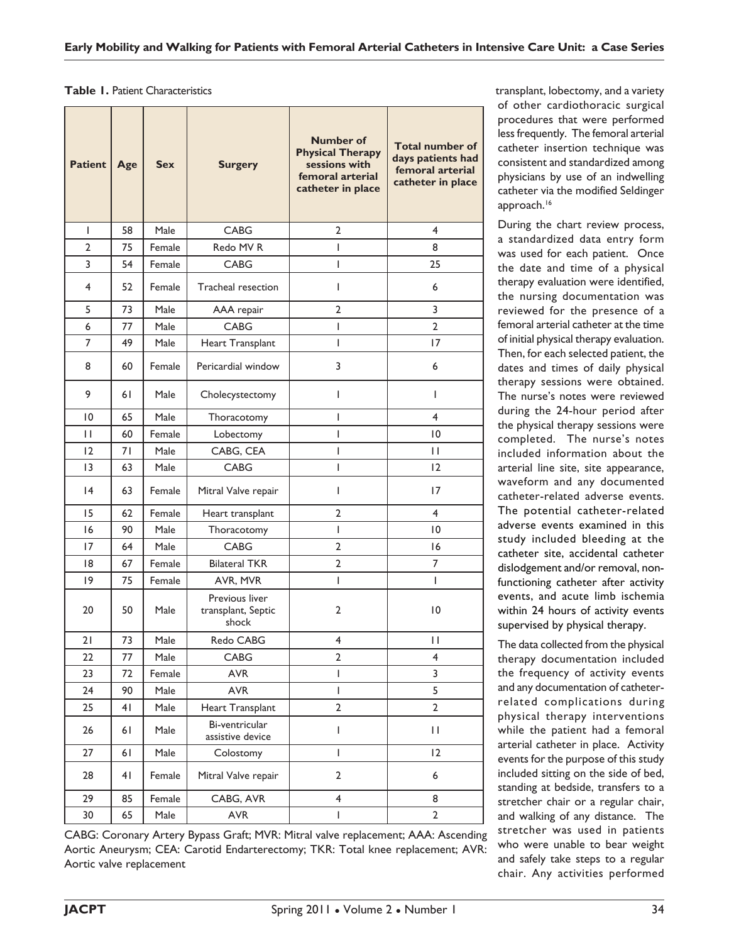#### **Table 1.** Patient Characteristics

| <b>Patient</b>  | Age | <b>Sex</b> | <b>Surgery</b>                                | <b>Number of</b><br><b>Physical Therapy</b><br>sessions with<br>femoral arterial<br>catheter in place | <b>Total number of</b><br>days patients had<br>femoral arterial<br>catheter in place |
|-----------------|-----|------------|-----------------------------------------------|-------------------------------------------------------------------------------------------------------|--------------------------------------------------------------------------------------|
| $\mathsf{I}$    | 58  | Male       | <b>CABG</b>                                   | 2                                                                                                     | 4                                                                                    |
| $\overline{2}$  | 75  | Female     | Redo MV R                                     | $\mathbf{I}$                                                                                          | 8                                                                                    |
| 3               | 54  | Female     | CABG                                          | I                                                                                                     | 25                                                                                   |
| 4               | 52  | Female     | Tracheal resection                            | $\mathsf{I}$                                                                                          | 6                                                                                    |
| 5               | 73  | Male       | AAA repair                                    | $\overline{2}$                                                                                        | 3                                                                                    |
| 6               | 77  | Male       | <b>CABG</b>                                   | I                                                                                                     | $\overline{2}$                                                                       |
| 7               | 49  | Male       | Heart Transplant                              | T                                                                                                     | 17                                                                                   |
| 8               | 60  | Female     | Pericardial window                            | 3                                                                                                     | 6                                                                                    |
| 9               | 61  | Male       | Cholecystectomy                               | T                                                                                                     | T                                                                                    |
| 10              | 65  | Male       | Thoracotomy                                   | L                                                                                                     | $\overline{4}$                                                                       |
| $\mathsf{H}$    | 60  | Female     | T<br>Lobectomy                                |                                                                                                       | 10                                                                                   |
| 12              | 71  | Male       | CABG, CEA                                     | I                                                                                                     | $\mathbf{H}$                                                                         |
| 3               | 63  | Male       | <b>CABG</b>                                   | T                                                                                                     | 12                                                                                   |
| $\overline{14}$ | 63  | Female     | Mitral Valve repair<br>$\mathsf{I}$           |                                                                                                       | 17                                                                                   |
| 15              | 62  | Female     | Heart transplant                              | 2                                                                                                     | $\overline{4}$                                                                       |
| 16              | 90  | Male       | T<br>Thoracotomy                              |                                                                                                       | $\overline{0}$                                                                       |
| 17              | 64  | Male       | CABG<br>$\overline{2}$                        |                                                                                                       | 16                                                                                   |
| 18              | 67  | Female     | <b>Bilateral TKR</b>                          | $\overline{2}$                                                                                        | $\overline{7}$                                                                       |
| 19              | 75  | Female     | AVR, MVR                                      | $\mathbf{I}$                                                                                          | T                                                                                    |
| 20              | 50  | Male       | Previous liver<br>transplant, Septic<br>shock | 2                                                                                                     | 10                                                                                   |
| 21              | 73  | Male       | Redo CABG                                     | 4                                                                                                     | П                                                                                    |
| 22              | 77  | Male       | CABG                                          | 2                                                                                                     | 4                                                                                    |
| 23              | 72  | Female     | AVR                                           | I                                                                                                     | 3                                                                                    |
| 24              | 90  | Male       | <b>AVR</b>                                    | T                                                                                                     | 5                                                                                    |
| 25              | 41  | Male       | Heart Transplant                              | $\overline{2}$                                                                                        | $\overline{2}$                                                                       |
| 26              | 61  | Male       | Bi-ventricular<br>assistive device            | I                                                                                                     | П                                                                                    |
| 27              | 61  | Male       | Colostomy                                     | I                                                                                                     | 12                                                                                   |
| 28              | 41  | Female     | Mitral Valve repair                           | 2                                                                                                     | 6                                                                                    |
| 29              | 85  | Female     | CABG, AVR                                     | $\overline{4}$                                                                                        | 8                                                                                    |
| 30              | 65  | Male       | <b>AVR</b>                                    | $\overline{2}$<br>I                                                                                   |                                                                                      |

transplant, lobectomy, and a variety of other cardiothoracic surgical procedures that were performed less frequently. The femoral arterial catheter insertion technique was consistent and standardized among physicians by use of an indwelling catheter via the modified Seldinger approach.<sup>16</sup>

During the chart review process, a standardized data entry form was used for each patient. Once the date and time of a physical therapy evaluation were identified, the nursing documentation was reviewed for the presence of a femoral arterial catheter at the time of initial physical therapy evaluation. Then, for each selected patient, the dates and times of daily physical therapy sessions were obtained. The nurse's notes were reviewed during the 24-hour period after the physical therapy sessions were completed. The nurse's notes included information about the arterial line site, site appearance, waveform and any documented catheter-related adverse events. The potential catheter-related adverse events examined in this study included bleeding at the catheter site, accidental catheter dislodgement and/or removal, nonfunctioning catheter after activity events, and acute limb ischemia within 24 hours of activity events supervised by physical therapy.

The data collected from the physical therapy documentation included the frequency of activity events and any documentation of catheterrelated complications during physical therapy interventions while the patient had a femoral arterial catheter in place. Activity events for the purpose of this study included sitting on the side of bed, standing at bedside, transfers to a stretcher chair or a regular chair, and walking of any distance. The stretcher was used in patients who were unable to bear weight and safely take steps to a regular chair. Any activities performed

CABG: Coronary Artery Bypass Graft; MVR: Mitral valve replacement; AAA: Ascending Aortic Aneurysm; CEA: Carotid Endarterectomy; TKR: Total knee replacement; AVR: Aortic valve replacement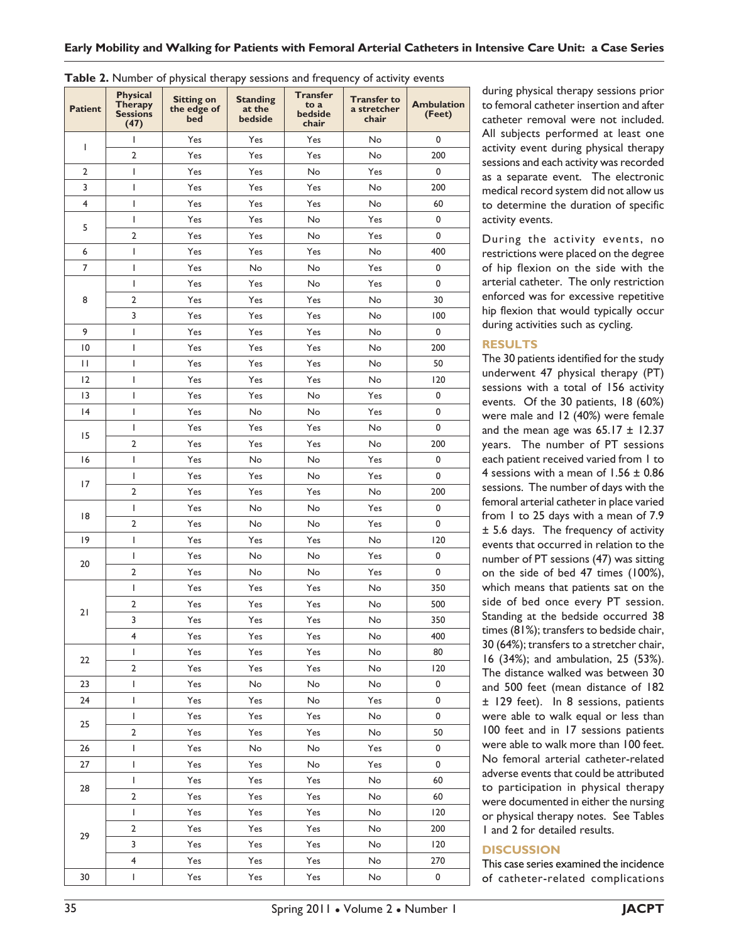| <b>EXECUTE:</b> INDITIVEL OF PHYSICAL LITERARY SESSIONS and if equency of activity events |                                                       |                                         |                                      |                                             |                                            |                             |
|-------------------------------------------------------------------------------------------|-------------------------------------------------------|-----------------------------------------|--------------------------------------|---------------------------------------------|--------------------------------------------|-----------------------------|
| <b>Patient</b>                                                                            | <b>Physical</b><br>Therapy<br><b>Sessions</b><br>(47) | <b>Sitting on</b><br>the edge of<br>bed | <b>Standing</b><br>at the<br>bedside | <b>Transfer</b><br>to a<br>bedside<br>chair | <b>Transfer to</b><br>a stretcher<br>chair | <b>Ambulation</b><br>(Feet) |
|                                                                                           | T                                                     | Yes                                     | Yes                                  | Yes                                         | No                                         | 0                           |
| I                                                                                         | $\overline{2}$                                        | Yes                                     | Yes                                  | Yes                                         | No                                         | 200                         |
| $\overline{2}$                                                                            | L                                                     | Yes                                     | Yes                                  | No                                          | Yes                                        | 0                           |
| 3                                                                                         | L                                                     | Yes                                     | Yes                                  | Yes                                         | No                                         | 200                         |
| $\overline{\mathbf{4}}$                                                                   | T                                                     | Yes                                     | Yes                                  | Yes                                         | No                                         | 60                          |
|                                                                                           | L                                                     | Yes                                     | Yes                                  | No                                          | Yes                                        | 0                           |
| 5                                                                                         | $\overline{2}$                                        | Yes                                     | Yes                                  | No                                          | Yes                                        | 0                           |
| 6                                                                                         | L                                                     | Yes                                     | Yes                                  | Yes                                         | No                                         | 400                         |
| 7                                                                                         | L                                                     | Yes                                     | No                                   | No                                          | Yes                                        | 0                           |
|                                                                                           | L                                                     | Yes                                     | Yes                                  | No                                          | Yes                                        | 0                           |
| 8                                                                                         | $\mathbf 2$                                           | Yes                                     | Yes                                  | Yes                                         | No                                         | 30                          |
|                                                                                           | 3                                                     | Yes                                     | Yes                                  | Yes                                         | No                                         | 100                         |
| 9                                                                                         | I                                                     | Yes                                     | Yes                                  | Yes                                         | No                                         | 0                           |
| $\overline{10}$                                                                           | I                                                     | Yes                                     | Yes                                  | Yes                                         | No                                         | 200                         |
| П                                                                                         | I                                                     | Yes                                     | Yes                                  | Yes                                         | No                                         | 50                          |
| 12                                                                                        | I                                                     | Yes                                     | Yes                                  | Yes                                         | No                                         | 120                         |
| 13                                                                                        | I                                                     | Yes                                     | Yes                                  | No                                          | Yes                                        | 0                           |
| 4                                                                                         | I                                                     | Yes                                     | No                                   | No                                          | Yes                                        | 0                           |
|                                                                                           | L                                                     | Yes                                     | Yes                                  | Yes                                         | No                                         | 0                           |
| 15                                                                                        | $\overline{2}$                                        | Yes                                     | Yes                                  | Yes                                         | No                                         | 200                         |
| 16                                                                                        | L                                                     | Yes                                     | No                                   | No                                          | Yes                                        | 0                           |
|                                                                                           | T                                                     | Yes                                     | Yes                                  | No                                          | Yes                                        | 0                           |
| 17                                                                                        | $\overline{2}$                                        | Yes                                     | Yes                                  | Yes                                         | No                                         | 200                         |
| 18                                                                                        | $\mathsf{I}$                                          | Yes                                     | No                                   | No                                          | Yes                                        | 0                           |
|                                                                                           | 2                                                     | Yes                                     | No                                   | No                                          | Yes                                        | $\pmb{0}$                   |
| 9                                                                                         | L                                                     | Yes                                     | Yes                                  | Yes                                         | No                                         | 120                         |
| 20                                                                                        | L                                                     | Yes                                     | No                                   | No                                          | Yes                                        | $\mathbf 0$                 |
|                                                                                           | $\overline{2}$                                        | Yes                                     | No                                   | No                                          | Yes                                        | $\pmb{0}$                   |
|                                                                                           | L                                                     | Yes                                     | Yes                                  | Yes                                         | No                                         | 350                         |
| 21                                                                                        | $\overline{2}$                                        | Yes                                     | Yes                                  | Yes                                         | No                                         | 500                         |
|                                                                                           | 3                                                     | Yes                                     | Yes                                  | Yes                                         | No                                         | 350                         |
|                                                                                           | 4                                                     | Yes                                     | Yes                                  | Yes                                         | No                                         | 400                         |
| 22                                                                                        | L                                                     | Yes                                     | Yes                                  | Yes                                         | No                                         | 80                          |
|                                                                                           | $\overline{\mathbf{c}}$                               | Yes                                     | Yes                                  | Yes                                         | No                                         | 120                         |
| 23                                                                                        | L                                                     | Yes                                     | No                                   | No                                          | No                                         | 0                           |
| 24                                                                                        | L                                                     | Yes                                     | Yes                                  | No                                          | Yes                                        | 0                           |
| 25                                                                                        | L                                                     | Yes                                     | Yes                                  | Yes                                         | No                                         | 0                           |
|                                                                                           | $\overline{\mathbf{c}}$                               | Yes                                     | Yes                                  | Yes                                         | No                                         | 50                          |
| 26                                                                                        | L                                                     | Yes                                     | No                                   | No                                          | Yes                                        | 0                           |
| 27                                                                                        | L                                                     | Yes                                     | Yes                                  | No                                          | Yes                                        | 0                           |
| 28                                                                                        | L                                                     | Yes                                     | Yes                                  | Yes                                         | No                                         | 60                          |
|                                                                                           | 2                                                     | Yes                                     | Yes                                  | Yes                                         | No                                         | 60                          |
|                                                                                           | L                                                     | Yes                                     | Yes                                  | Yes                                         | No                                         | 120                         |
| 29                                                                                        | 2                                                     | Yes                                     | Yes                                  | Yes                                         | No                                         | 200                         |
|                                                                                           | 3                                                     | Yes                                     | Yes                                  | Yes                                         | No                                         | 120                         |
|                                                                                           | 4                                                     | Yes                                     | Yes                                  | Yes                                         | No                                         | 270                         |
| 30                                                                                        | L                                                     | Yes                                     | Yes                                  | Yes                                         | No                                         | 0                           |

| Table 2. Number of physical therapy sessions and frequency of activity events |  |  |  |
|-------------------------------------------------------------------------------|--|--|--|
|-------------------------------------------------------------------------------|--|--|--|

during physical therapy sessions prior to femoral catheter insertion and after catheter removal were not included. All subjects performed at least one activity event during physical therapy sessions and each activity was recorded as a separate event. The electronic medical record system did not allow us to determine the duration of specific activity events.

During the activity events, no restrictions were placed on the degree of hip flexion on the side with the arterial catheter. The only restriction enforced was for excessive repetitive hip flexion that would typically occur during activities such as cycling.

## **RESULTS**

The 30 patients identified for the study underwent 47 physical therapy (PT) sessions with a total of 156 activity events. Of the 30 patients, 18 (60%) were male and 12 (40%) were female and the mean age was  $65.17 \pm 12.37$ years. The number of PT sessions each patient received varied from 1 to 4 sessions with a mean of  $1.56 \pm 0.86$ sessions. The number of days with the femoral arterial catheter in place varied from 1 to 25 days with a mean of 7.9 ± 5.6 days. The frequency of activity events that occurred in relation to the number of PT sessions (47) was sitting on the side of bed 47 times (100%), which means that patients sat on the side of bed once every PT session. Standing at the bedside occurred 38 times (81%); transfers to bedside chair, 30 (64%); transfers to a stretcher chair, 16 (34%); and ambulation, 25 (53%). The distance walked was between 30 and 500 feet (mean distance of 182 ± 129 feet). In 8 sessions, patients were able to walk equal or less than 100 feet and in 17 sessions patients were able to walk more than 100 feet. No femoral arterial catheter-related adverse events that could be attributed to participation in physical therapy were documented in either the nursing or physical therapy notes. See Tables 1 and 2 for detailed results.

# **DISCUSSION**

This case series examined the incidence of catheter-related complications